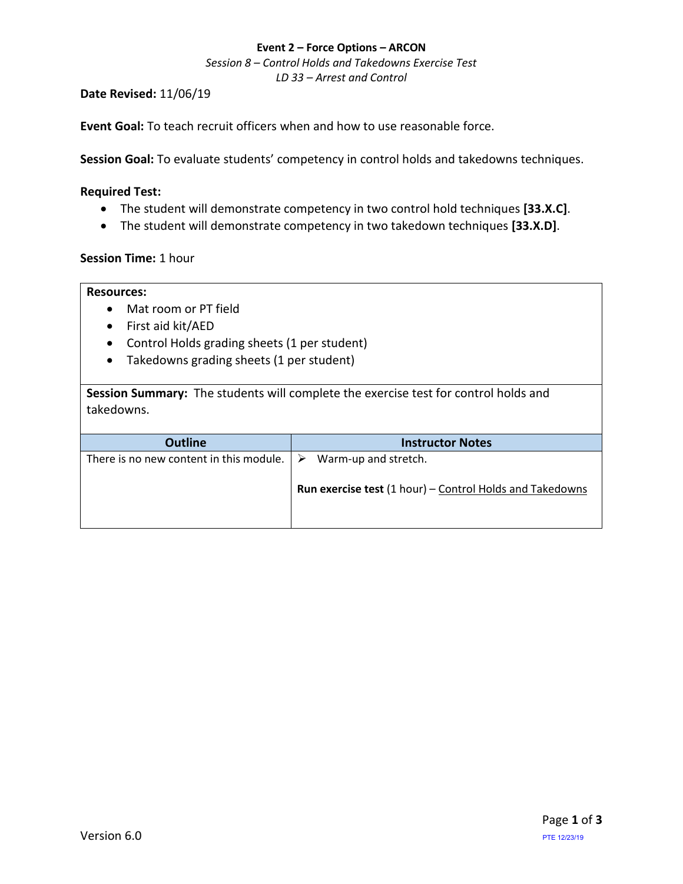### **Event 2 – Force Options – ARCON**

*Session 8 – Control Holds and Takedowns Exercise Test LD 33 – Arrest and Control*

**Date Revised:** 11/06/19

**Event Goal:** To teach recruit officers when and how to use reasonable force.

**Session Goal:** To evaluate students' competency in control holds and takedowns techniques.

### <span id="page-0-0"></span>**Required Test:**

- The student will [demonstrate competency in two control hold techniques](#page-1-0) **[33.X.C]**.
- The student will [demonstrate competency in two takedown techniques](#page-1-0) **[33.X.D]**.

## **Session Time:** 1 hour

### **Resources:**

- Mat room or PT field
- First aid kit/AED
- Control Holds grading sheets (1 per student)
- Takedowns grading sheets (1 per student)

**Session Summary:** The students will complete the exercise test for control holds and takedowns.

| <b>Outline</b>                                           | <b>Instructor Notes</b>                                                                 |
|----------------------------------------------------------|-----------------------------------------------------------------------------------------|
| There is no new content in this module. $\triangleright$ | Warm-up and stretch.<br><b>Run exercise test (1 hour) - Control Holds and Takedowns</b> |
|                                                          |                                                                                         |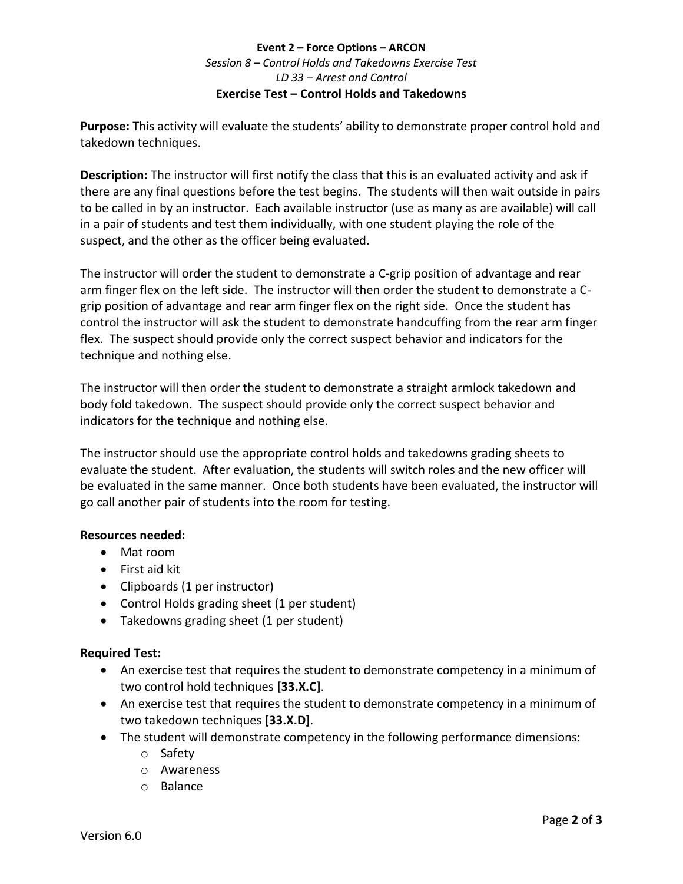# **Event 2 – Force Options – ARCON** *Session 8 – Control Holds and Takedowns Exercise Test LD 33 – Arrest and Control* **Exercise Test – Control Holds [and Takedowns](#page-0-0)**

<span id="page-1-0"></span>**Purpose:** This activity will evaluate the students' ability to demonstrate proper control hold and takedown techniques.

**Description:** The instructor will first notify the class that this is an evaluated activity and ask if there are any final questions before the test begins. The students will then wait outside in pairs to be called in by an instructor. Each available instructor (use as many as are available) will call in a pair of students and test them individually, with one student playing the role of the suspect, and the other as the officer being evaluated.

The instructor will order the student to demonstrate a C-grip position of advantage and rear arm finger flex on the left side. The instructor will then order the student to demonstrate a Cgrip position of advantage and rear arm finger flex on the right side. Once the student has control the instructor will ask the student to demonstrate handcuffing from the rear arm finger flex. The suspect should provide only the correct suspect behavior and indicators for the technique and nothing else.

The instructor will then order the student to demonstrate a straight armlock takedown and body fold takedown. The suspect should provide only the correct suspect behavior and indicators for the technique and nothing else.

The instructor should use the appropriate control holds and takedowns grading sheets to evaluate the student. After evaluation, the students will switch roles and the new officer will be evaluated in the same manner. Once both students have been evaluated, the instructor will go call another pair of students into the room for testing.

# **Resources needed:**

- Mat room
- First aid kit
- Clipboards (1 per instructor)
- Control Holds grading sheet (1 per student)
- Takedowns grading sheet (1 per student)

# **Required Test:**

- An exercise test that requires the student to demonstrate competency in a minimum of two control hold techniques **[33.X.C]**.
- An exercise test that requires the student to demonstrate competency in a minimum of two takedown techniques **[33.X.D]**.
- The student will demonstrate competency in the following performance dimensions:
	- o Safety
	- o Awareness
	- o Balance